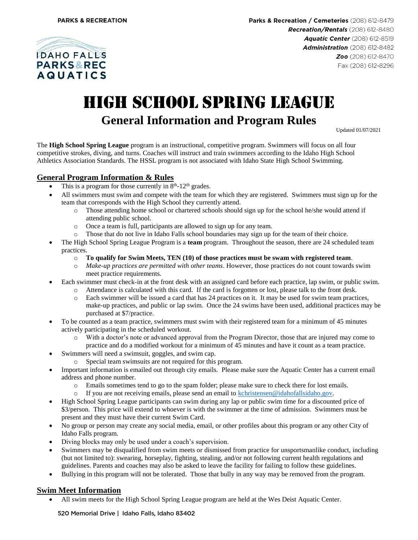

# High School Spring League **General Information and Program Rules**

Updated 01/07/2021

The **High School Spring League** program is an instructional, competitive program. Swimmers will focus on all four competitive strokes, diving, and turns. Coaches will instruct and train swimmers according to the Idaho High School Athletics Association Standards. The HSSL program is not associated with Idaho State High School Swimming.

## **General Program Information & Rules**

- This is a program for those currently in  $8<sup>th</sup>$ -12<sup>th</sup> grades.
- All swimmers must swim and compete with the team for which they are registered. Swimmers must sign up for the team that corresponds with the High School they currently attend.
	- o Those attending home school or chartered schools should sign up for the school he/she would attend if attending public school.
	- o Once a team is full, participants are allowed to sign up for any team.
	- o Those that do not live in Idaho Falls school boundaries may sign up for the team of their choice.
- The High School Spring League Program is a **team** program. Throughout the season, there are 24 scheduled team practices.
	- o **To qualify for Swim Meets, TEN (10) of those practices must be swam with registered team**.
	- o *Make-up practices are permitted with other teams*. However, those practices do not count towards swim meet practice requirements.
- Each swimmer must check-in at the front desk with an assigned card before each practice, lap swim, or public swim.
	- o Attendance is calculated with this card. If the card is forgotten or lost, please talk to the front desk.
	- o Each swimmer will be issued a card that has 24 practices on it. It may be used for swim team practices, make-up practices, and public or lap swim. Once the 24 swims have been used, additional practices may be purchased at \$7/practice.
- To be counted as a team practice, swimmers must swim with their registered team for a minimum of 45 minutes actively participating in the scheduled workout.
	- o With a doctor's note or advanced approval from the Program Director, those that are injured may come to practice and do a modified workout for a minimum of 45 minutes and have it count as a team practice.
- Swimmers will need a swimsuit, goggles, and swim cap.
	- o Special team swimsuits are not required for this program.
- Important information is emailed out through city emails. Please make sure the Aquatic Center has a current email address and phone number.
	- o Emails sometimes tend to go to the spam folder; please make sure to check there for lost emails.
	- $\circ$  If you are not receiving emails, please send an email t[o kchristensen@idahofallsidaho.gov.](mailto:kchristensen@idahofallsidaho.gov)
- High School Spring League participants can swim during any lap or public swim time for a discounted price of \$3/person. This price will extend to whoever is with the swimmer at the time of admission. Swimmers must be present and they must have their current Swim Card.
- No group or person may create any social media, email, or other profiles about this program or any other City of Idaho Falls program.
- Diving blocks may only be used under a coach's supervision.
- Swimmers may be disqualified from swim meets or dismissed from practice for unsportsmanlike conduct, including (but not limited to): swearing, horseplay, fighting, stealing, and/or not following current health regulations and guidelines. Parents and coaches may also be asked to leave the facility for failing to follow these guidelines.
- Bullying in this program will not be tolerated. Those that bully in any way may be removed from the program.

## **Swim Meet Information**

All swim meets for the High School Spring League program are held at the Wes Deist Aquatic Center.

520 Memorial Drive | Idaho Falls, Idaho 83402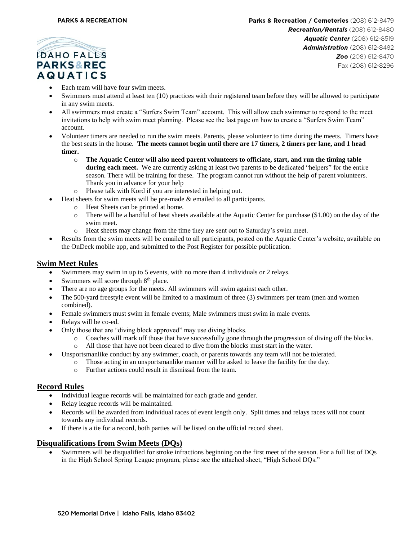**IDAHO FALLS** 

**PARKS&REC** 

**AQUATICS** 



- Each team will have four swim meets.
- Swimmers must attend at least ten (10) practices with their registered team before they will be allowed to participate in any swim meets.
- All swimmers must create a "Surfers Swim Team" account. This will allow each swimmer to respond to the meet invitations to help with swim meet planning. Please see the last page on how to create a "Surfers Swim Team" account.
- Volunteer timers are needed to run the swim meets. Parents, please volunteer to time during the meets. Timers have the best seats in the house. **The meets cannot begin until there are 17 timers, 2 timers per lane, and 1 head timer.**
	- o **The Aquatic Center will also need parent volunteers to officiate, start, and run the timing table during each meet.** We are currently asking at least two parents to be dedicated "helpers" for the entire season. There will be training for these. The program cannot run without the help of parent volunteers. Thank you in advance for your help
	- o Please talk with Kord if you are interested in helping out.
	- Heat sheets for swim meets will be pre-made & emailed to all participants.
		- o Heat Sheets can be printed at home.
		- $\circ$  There will be a handful of heat sheets available at the Aquatic Center for purchase (\$1.00) on the day of the swim meet.
		- o Heat sheets may change from the time they are sent out to Saturday's swim meet.
- Results from the swim meets will be emailed to all participants, posted on the Aquatic Center's website, available on the OnDeck mobile app, and submitted to the Post Register for possible publication.

## **Swim Meet Rules**

- Swimmers may swim in up to 5 events, with no more than 4 individuals or 2 relays.
- Swimmers will score through 8<sup>th</sup> place.
- There are no age groups for the meets. All swimmers will swim against each other.
- The 500-yard freestyle event will be limited to a maximum of three (3) swimmers per team (men and women combined).
- Female swimmers must swim in female events; Male swimmers must swim in male events.
- Relays will be co-ed.
- Only those that are "diving block approved" may use diving blocks.
	- o Coaches will mark off those that have successfully gone through the progression of diving off the blocks.
	- o All those that have not been cleared to dive from the blocks must start in the water.
- Unsportsmanlike conduct by any swimmer, coach, or parents towards any team will not be tolerated.
	- o Those acting in an unsportsmanlike manner will be asked to leave the facility for the day.
	- o Further actions could result in dismissal from the team.

#### **Record Rules**

- Individual league records will be maintained for each grade and gender.
- Relay league records will be maintained.
- Records will be awarded from individual races of event length only. Split times and relays races will not count towards any individual records.
- If there is a tie for a record, both parties will be listed on the official record sheet.

## **Disqualifications from Swim Meets (DQs)**

 Swimmers will be disqualified for stroke infractions beginning on the first meet of the season. For a full list of DQs in the High School Spring League program, please see the attached sheet, "High School DQs."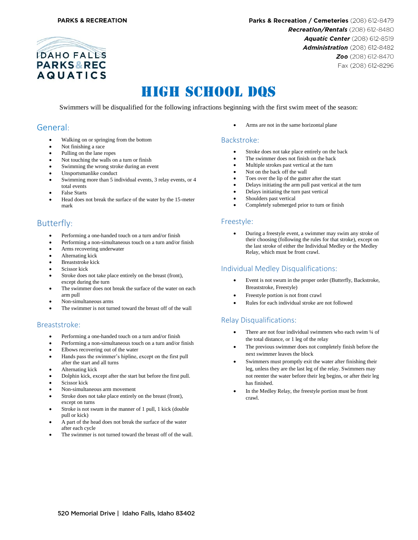

## HIGH SCHOOL DQS

Swimmers will be disqualified for the following infractions beginning with the first swim meet of the season:

## General:

- Walking on or springing from the bottom
- Not finishing a race
- Pulling on the lane ropes
- Not touching the walls on a turn or finish
- Swimming the wrong stroke during an event
- Unsportsmanlike conduct
- Swimming more than 5 individual events, 3 relay events, or 4 total events
- False Starts
- Head does not break the surface of the water by the 15-meter mark

## Butterfly:

- Performing a one-handed touch on a turn and/or finish
- Performing a non-simultaneous touch on a turn and/or finish
- Arms recovering underwater
- Alternating kick
- Breaststroke kick
- Scissor kick
- Stroke does not take place entirely on the breast (front), except during the turn
- The swimmer does not break the surface of the water on each arm pull
- Non-simultaneous arms
- The swimmer is not turned toward the breast off of the wall

## Breaststroke:

- Performing a one-handed touch on a turn and/or finish
- Performing a non-simultaneous touch on a turn and/or finish
- Elbows recovering out of the water
- Hands pass the swimmer's hipline, except on the first pull after the start and all turns
- Alternating kick
- Dolphin kick, except after the start but before the first pull.
- Scissor kick
- Non-simultaneous arm movement
- Stroke does not take place entirely on the breast (front), except on turns
- Stroke is not swum in the manner of 1 pull, 1 kick (double pull or kick)
- A part of the head does not break the surface of the water after each cycle
- The swimmer is not turned toward the breast off of the wall.

Arms are not in the same horizontal plane

#### Backstroke:

- Stroke does not take place entirely on the back
- The swimmer does not finish on the back
- Multiple strokes past vertical at the turn
- Not on the back off the wall
- Toes over the lip of the gutter after the start
- Delays initiating the arm pull past vertical at the turn
- Delays initiating the turn past vertical
- Shoulders past vertical
- Completely submerged prior to turn or finish

## Freestyle:

 During a freestyle event, a swimmer may swim any stroke of their choosing (following the rules for that stroke), except on the last stroke of either the Individual Medley or the Medley Relay, which must be front crawl.

## Individual Medley Disqualifications:

- Event is not swum in the proper order (Butterfly, Backstroke, Breaststroke, Freestyle)
- Freestyle portion is not front crawl
- Rules for each individual stroke are not followed

## Relay Disqualifications:

- There are not four individual swimmers who each swim 1/4 of the total distance, or 1 leg of the relay
- The previous swimmer does not completely finish before the next swimmer leaves the block
- Swimmers must promptly exit the water after finishing their leg, unless they are the last leg of the relay. Swimmers may not reenter the water before their leg begins, or after their leg has finished.
- In the Medley Relay, the freestyle portion must be front crawl.